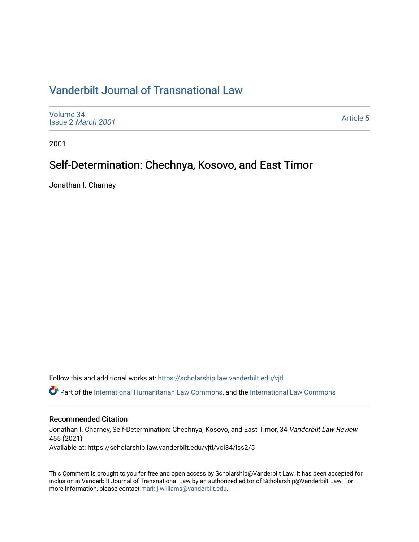# [Vanderbilt Journal of Transnational Law](https://scholarship.law.vanderbilt.edu/vjtl)

[Volume 34](https://scholarship.law.vanderbilt.edu/vjtl/vol34) Issue 2 [March 2001](https://scholarship.law.vanderbilt.edu/vjtl/vol34/iss2)

[Article 5](https://scholarship.law.vanderbilt.edu/vjtl/vol34/iss2/5) 

2001

# Self-Determination: Chechnya, Kosovo, and East Timor

Jonathan I. Charney

Follow this and additional works at: [https://scholarship.law.vanderbilt.edu/vjtl](https://scholarship.law.vanderbilt.edu/vjtl?utm_source=scholarship.law.vanderbilt.edu%2Fvjtl%2Fvol34%2Fiss2%2F5&utm_medium=PDF&utm_campaign=PDFCoverPages) 

Part of the [International Humanitarian Law Commons](http://network.bepress.com/hgg/discipline/1330?utm_source=scholarship.law.vanderbilt.edu%2Fvjtl%2Fvol34%2Fiss2%2F5&utm_medium=PDF&utm_campaign=PDFCoverPages), and the [International Law Commons](http://network.bepress.com/hgg/discipline/609?utm_source=scholarship.law.vanderbilt.edu%2Fvjtl%2Fvol34%2Fiss2%2F5&utm_medium=PDF&utm_campaign=PDFCoverPages) 

## Recommended Citation

Jonathan I. Charney, Self-Determination: Chechnya, Kosovo, and East Timor, 34 Vanderbilt Law Review 455 (2021) Available at: https://scholarship.law.vanderbilt.edu/vjtl/vol34/iss2/5

This Comment is brought to you for free and open access by Scholarship@Vanderbilt Law. It has been accepted for inclusion in Vanderbilt Journal of Transnational Law by an authorized editor of Scholarship@Vanderbilt Law. For more information, please contact [mark.j.williams@vanderbilt.edu](mailto:mark.j.williams@vanderbilt.edu).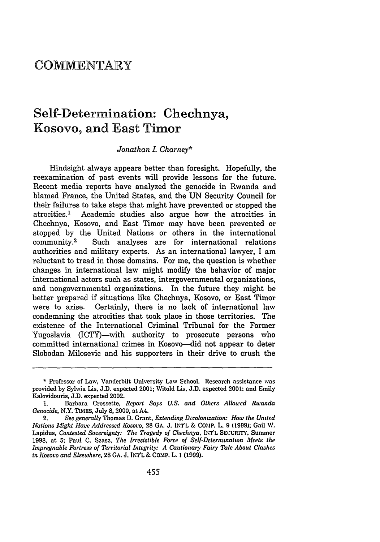## **COMMENTARY**

# Self-Determination: Chechnya, Kosovo, and East Timor

## *Jonathan I. Charney\**

Hindsight always appears better than foresight. Hopefully, the reexamination of past events will provide lessons for the future. Recent media reports have analyzed the genocide in Rwanda and blamed France, the United States, and the UN Security Council for their failures to take steps that might have prevented or stopped the atrocities.' Academic studies also argue how the atrocities in Chechnya, Kosovo, and East Timor may have been prevented or stopped by the United Nations or others in the international community.2 Such analyses are for international relations authorities and military experts. As an international lawyer, I am reluctant to tread in those domains. For me, the question is whether changes in international law might modify the behavior of major international actors such as states, intergovernmental organizations, and nongovernmental organizations. In the future they might be better prepared if situations like Chechnya, Kosovo, or East Timor were to arise. Certainly, there is no lack of international law condemning the atrocities that took place in those territories. The existence of the International Criminal Tribunal for the Former Yugoslavia (ICTY)—with authority to prosecute persons who committed international crimes in Kosovo-did not appear to deter Slobodan Milosevic and his supporters in their drive to crush the

**<sup>\*</sup>** Professor of Law, Vanderbilt University Law School. Research assistance was provided by Sylwia Lis, J.D. expected 2001; Witold Lis, J.D. expected 2001; and Emily Kalovidouris, J.D. expected 2002.

<sup>1.</sup> Barbara Crossette, *Report Says U.S. and Others Allowed Rwanda Genocide,* N.Y. TIMES, July 8, 2000, at A4.

<sup>2.</sup> *See generally* Thomas D. Grant, *Extending Decolonization:* **How** *the United Nations Might Have Addressed Kosovo,* 28 GA. J. INI"L & **CO.MP.** L. 9 **(1999);** Gail W. Lapidus, *Contested Sovereignty. The Tragedy of Chechnya,* **INT'L** SECURITY, Summer 1998, at **5;** Paul **C.** Szasz, *The Irresistible Force of Self-Determinatwn Meets the Impregnable Fortress of Territorial Integrity." A Cautionary Fairy Tale About Clashes in Kosovo and Elsewhere,* 28 GA. J. INT'L & COMP. L. 1 (1999).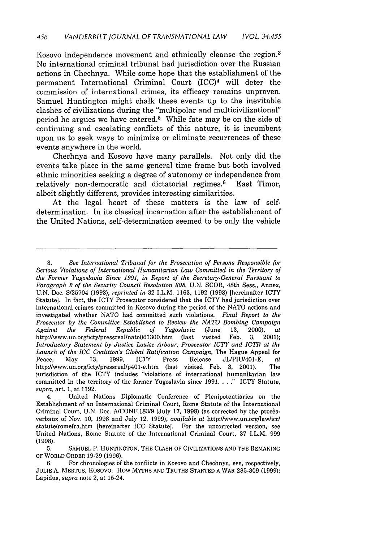Kosovo independence movement and ethnically cleanse the region. <sup>3</sup> No international criminal tribunal had jurisdiction over the Russian actions in Chechnya. While some hope that the establishment of the permanent International Criminal Court (ICC)4 will deter the commission of international crimes, its efficacy remains unproven. Samuel Huntington might chalk these events up to the inevitable clashes of civilizations during the "multipolar and multicivilizational" period he argues we have entered.<sup>5</sup> While fate may be on the side of continuing and escalating conflicts of this nature, it is incumbent upon us to seek ways to minimize or eliminate recurrences of these events anywhere in the world.

Chechnya and Kosovo have many parallels. Not only did the events take place in the same general time frame but both involved ethnic minorities seeking a degree of autonomy or independence from relatively non-democratic and dictatorial regimes.<sup>6</sup> East Timor, albeit slightly different, provides interesting similarities.

At the legal heart of these matters is the law of selfdetermination. In its classical incarnation after the establishment of the United Nations, self-determination seemed to be only the vehicle

<sup>3.</sup> *See International Tribunal for the Prosecution of Persons Responsible for Serious Violations of International Humanitarian Law Committed in the Territory of the Former Yugoslavia Since 1991, in Report of the Secretary-General Pursuant to Paragraph 2 of the Security Council Resolution 808,* U.N. SCOR, 48th Sess., Annex, U.N. Doc. S/25704 (1993), *reprinted in* 32 I.L.M. 1163, 1192 (1993) [hereinafter ICTY Statute]. In fact, the ICTY Prosecutor considered that the ICTY had jurisdiction over international crimes committed in Kosovo during the period of the NATO actions and investigated whether NATO had committed such violations. *Final Report to the Prosecutor by the Committee Established to Review the NATO Bombing Campaign Against the Federal Republic of Yugoslavia* (June 13, 2000), *at* http://www.un.org/icty/pressreal/nato0613OO.htm (last visited Feb. 3, 2001); *Introductory Statement by Justice Louise Arbour, Prosecutor ICTY and ICTR at the Launch of the ICC Coalition's Global Ratification Campaign,* The Hague Appeal for Peace, May 13, 1999, ICTY Press Release JLIPIU/401-E, *at* http://www.un.org/icty/pressreal/p4Ol-e.htm (last visited Feb. 3, 2001). The jurisdiction of the ICTY includes "violations of international humanitarian law committed in the territory of the former Yugoslavia since  $1991. \ldots$ ." ICTY Statute, *supra,* art. 1, at 1192.

<sup>4.</sup> United Nations Diplomatic Conference of Plenipotentiaries on the Establishment of an International Criminal Court, Rome Statute of the International Criminal Court, U.N. Doc. A/CONF.183/9 (July 17, 1998) (as corrected by the procbs. verbaux of Nov. 10, 1998 and July 12, 1999), *available at* http://www.un.orgllaw/iccl statute/romefra.htm [hereinafter ICC Statute]. For the uncorrected version, see United Nations, Rome Statute of the International Criminal Court, 37 I.L.M. 999 (1998).

**<sup>5.</sup>** SAMUEL P. HUNTINGTON, THE CLASH OF CIVILIZATIONS AND THE REMAKING OF WORLD ORDER 19-29 (1996).

<sup>6.</sup> For chronologies of the conflicts in Kosovo and Chechnya, see, respectively, JULIE A. MERTUS, KOSOVO: How MYTHS AND TRUTHS STARTED A WAR 285-309 **(1999);** Lapidus, *supra* note 2, at 15-24.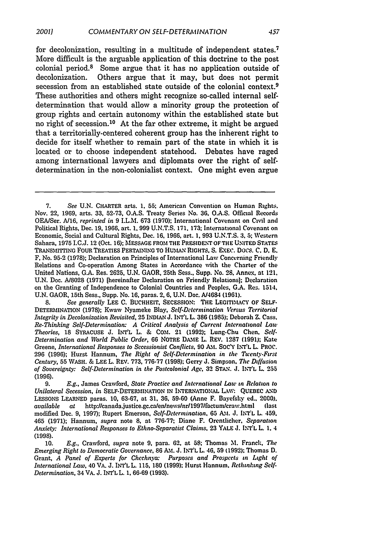for decolonization, resulting in a multitude of independent states.7 More difficult is the arguable application of this doctrine to the post colonial period.<sup>8</sup> Some argue that it has no application outside of decolonization. Others argue that it may, but does not permit secession from an established state outside of the colonial context.<sup>9</sup> These authorities and others might recognize so-called internal selfdetermination that would allow a minority group the protection of group rights and certain autonomy within the established state but no right of secession.<sup>10</sup> At the far other extreme, it might be argued that a territorially-centered coherent group has the inherent right to decide for itself whether to remain part of the state in which it is located or to choose independent statehood. Debates have raged among international lawyers and diplomats over the right of selfdetermination in the non-colonialist context. One might even argue

**8.** *See generally* **LEE C. BUCHHEIT,** SECESSION: THE LEGITIMACY OF **SELF-**DETERMINATION (1978); Kwaw Nyameke Blay, *Self-Determination Versus Territorial Integrity in Decolonization Revisited,* 25 INDIAN J. **INT'L** L. **386 (1985);** Deborah Z. Cass, *Re-Thinking Self-Determination: A Critical Analysis of Current International Law Theories,* **18** SYRACUSE J. INT'L L. & COM. 21 **(1992);** Lung-Chu Chen, *Self-Determination and World Public Order,* 66 NOTRE DAME L. REV. 1287 (1991); Kate Greene, *International Responses to Secessionist Conflicts,* **90** AM. **SOC'Y** INTL L PROC. 296 (1996); Hurst Hannum, *The Right of Self-Determination in the Twenty-First Century,* 55 WASH. & LEE L. REV. 773, 776-77 **(1998);** Gerry J. Simpson, *The Diffusion of Sovereignty: Self-Determination in the Postcolonial Age.* 32 **STAN.** J. IN'rL L **255** (1996).

9. *E.g.,* James Crawford, *State Practice and International Lau, in Relation to Unilateral Secession, in* SELF-DETEMINATION **IN** INTERNATIONAL LAW: QUEBEC **AND** LESSONS LEARNED paras. **10,** 63-67, at 31, 36, 59-60 (Anne F. Bayefsky ed., 2000), available at http://canada.justice.gc.ca/en/news/nr/1997/factum/craw.html (last modified Dec. **9, 1997);** Rupert Emerson, *Self-Determination,* 65 **AM. J.** INTL L. 459. 465 **(1971);** Hannum, *supra* note 8, at **776-77;** Diane F. Orentlicher, *Separation Anxiety: International Responses to Ethno-Separatist Claims,* **23** YALE **J.** INT'L L 1, 4 **(1998).**

10. *E.g.,* Crawford, *supra* note 9, para. 62, at **58;** Thomas **M.** Franck, *The Emerging Right to Democratic Governance,* **86 AM. J.** INT'L L. **46, 59 (1992);** Thomas D. Grant, *A Panel of Experts for Chechnyo: Purposes and Prospects in Light of International Law,* 40 VA. J. INT'L L. 115, 180 (1999); Hurst Hannum, *Rethinking Self. Determination,* 34 VA. J. INT'L L. 1, 66-69 (1993).

**<sup>7.</sup>** *See* U.N. CHARTER arts. **1.** 55; American Convention on Human Rights. Nov. 22, 1969, arts. 33, 52-73, O.A.S. Treaty Series No. 36, O.A.S. Official Records OEA/Ser. A/16, *reprinted in* 9 I.L.M. 673 (1970): International Covenant on Civil and Political Rights, Dec. 19, 1966, art. **1.** 999 U.N.T.S. 171, 173; International Covenant on Economic, Social and Cultural Rights, Dec. 16, 1966, art. 1, 993 U.N.T.S. 3, 5; Western Sahara, 1975 I.C.J. 12 (Oct. **16);** MESSAGE FROM THE PRESIDENT OFTHE **UNITED** STATES TRANSMITTING FOUR TREATIES PERTAINING TO HUMAN RIGHTS. **S.** E.XEC. Docs. *C.* **D, E.** F, No. 95-2 (1978); Declaration on Principles of International Law Concerning Friendly Relations and Co-operation Among States in Accordance with the Charter of the United Nations, **G.A.** Res. 2625, U.N. GAOR, 25th Sess., Supp. No. **28.** Annex, at 121, U.N. Doc. A/8028 (1971) [hereinafter Declaration on Friendly Relations]; Declaration on the Granting of Independence to Colonial Countries and Peoples, G.A. Res. 1514, **U.N.** GAOR, 15th Sess., Supp. No. 16, paras. 2, 6, U.N. Doc. A14684 (1961).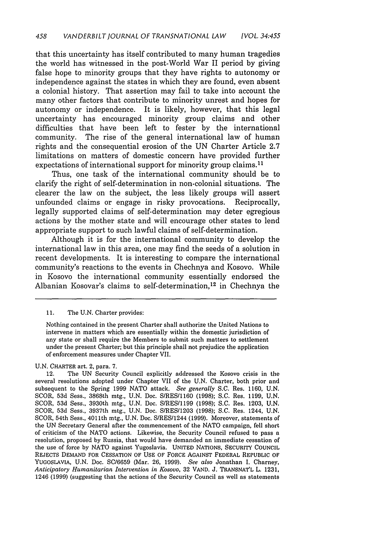that this uncertainty has itself contributed to many human tragedies the world has witnessed in the post-World War II period by giving false hope to minority groups that they have rights to autonomy or independence against the states in which they are found, even absent a colonial history. That assertion may fail to take into account the many other factors that contribute to minority unrest and hopes for autonomy or independence. It is likely, however, that this legal uncertainty has encouraged minority group claims and other difficulties that have been left to fester by the international community. The rise of the general international law of human rights and the consequential erosion of the UN Charter Article 2.7 limitations on matters of domestic concern have provided further expectations of international support for minority group claims.<sup>11</sup>

Thus, one task of the international community should be to clarify the right of self-determination in non-colonial situations. The clearer the law on the subject, the less likely groups will assert unfounded claims or engage in risky provocations. Reciprocally, legally supported claims of self-determination may deter egregious actions by the mother state and will encourage other states to lend appropriate support to such lawful claims of self-determination.

Although it is for the international community to develop the international law in this area, one may find the seeds of a solution in recent developments. It is interesting to compare the international community's reactions to the events in Chechnya and Kosovo. While in Kosovo the international community essentially endorsed the Albanian Kosovar's claims to self-determination, 12 in Chechnya the

#### 11. The U.N. Charter provides:

Nothing contained in the present Charter shall authorize the United Nations to intervene in matters which are essentially within the domestic jurisdiction of any state or shall require the Members to submit such matters to settlement under the present Charter; but this principle shall not prejudice the application of enforcement measures under Chapter VII.

U.N. CHARTER art. 2, para. 7.

12. The UN Security Council explicitly addressed the Kosovo crisis in the several resolutions adopted under Chapter VII of the U.N. Charter, both prior and subsequent to the Spring 1999 NATO attack. *See generally* S.C. Res. 1160, U.N. SCOR, 53d Sess., 3868th mtg., U.N. Doc. S/RES/1160 (1998); S.C. Res. 1199, U.N. SCOR, 53d Sess., 3930th mtg., U.N. Doc. S/RES/1199 (1998); S.C. Res. 1203, U.N. SCOR, 53d Sess., 3937th mtg., U.N. Doc. S/RES/1203 (1998); S.C. Res. 1244, U.N. SCOR, 54th Sess., 4011th mtg., U.N. Doc. S/RES/1244 (1999). Moreover, statements of the UN Secretary General after the commencement of the NATO campaign, fell short of criticism of the NATO actions. Likewise, the Security Council refused to pass a resolution, proposed by Russia, that would have demanded an immediate cessation of the use of force by NATO against Yugoslavia. UNITED NATIONS, SECURITY COUNCIL REJECTS DEMAND FOR CESSATION OF USE OF FORCE AGAINST FEDERAL REPUBLIC OF YUGOSLAVIA, U.N. Doc. **SC/6659** (Mar. 26, 1999). *See also* Jonathan I. Charney, *Anticipatory Humanitarian Intervention in Kosovo,* 32 VAND. J. TRANSNAT'L L. 1231, 1246 (1999) (suggesting that the actions of the Security Council as well as statements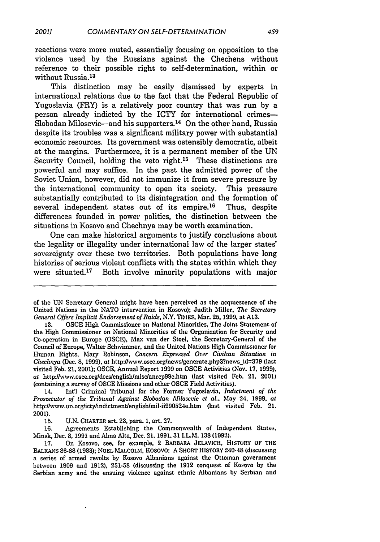reactions were more muted, essentially focusing on opposition to the violence used by the Russians against the Chechens without reference to their possible right to self-determination, within or without Russia.<sup>13</sup>

This distinction may be easily dismissed by experts in international relations due to the fact that the Federal Republic of Yugoslavia (FRY) is a relatively poor country that was run by a person already indicted by the ICTY for international crimes-- Slobodan Milosevic-and his supporters.<sup>14</sup> On the other hand, Russia despite its troubles was a significant military power with substantial economic resources. Its government was ostensibly democratic, albeit at the margins. Furthermore, it is a permanent member of the UN Security Council, holding the veto right.<sup>15</sup> These distinctions are powerful and may suffice. In the past the admitted power of the Soviet Union, however, did not immunize it from severe pressure by the international community to open its society. This pressure substantially contributed to its disintegration and the formation of several independent states out of its empire.<sup>16</sup> Thus, despite differences founded in power politics, the distinction between the situations in Kosovo and Chechnya may be worth examination.

One can make historical arguments to justify conclusions about the legality or illegality under international law of the larger states' sovereignty over these two territories. Both populations have long histories of serious violent conflicts with the states within which they were situated.17 Both involve minority populations with major

**13. OSCE** High Commissioner on National Minorities, The Joint Statement of the High Commissioner on National Minorities of the Organization for Security and Co-operation in Europe **(OSCE),** Max van der Stoel. the Secretary.General of the Council of Europe, Walter Schwimmer, and the United Nations High Commissioner **for** Human Rights, Mary Robinson, *Concern Expressed Over Civilian Situation in Chechnya* (Dec. **8,** 1999), *at* http'J/www.osce.org/news/generate.php3?newsid=379 (last visited Feb. 21, 2001); **OSCE,** Annual Report **1999** on OSCE Activities (Nov. **17, 1999).** at http-J/www.osce.org/docslenglish/misclanrep99e.htm (last visited **Feb.** 21, 2001) (containing a survey of **OSCE** Missions and other **OSCE** Field Activities).

14. Int'l Criminal Tribunal for the Former Yugoslavia, *Indictment of the Proscecutor of the Tribunal Against Slobodan Afilosevic et al.,* May 24, **1999,** *at* http'Jhwwv.un.org/ictylindictment/englishtmil.ii990524e.htm (last visited Feb. **21,** 2001).

**15. U.N.** CHARTER art. **23,** para. **1,** art. **27.**

**16.** Agreements Establishing the Commonwealth of Independent States. Minsk, Dec. **8,** 1991 and Alma Alta, Dec. 21, **1991,** 31 I.L.M. **138** (1992).

**17.** On Kosovo, see, for example, 2 BARBARA JELAWICH. HISTORY OF THE BALKANS **86-88** (1983); NOEL MALCOLM, Kosovo: A SHORT HISTORY 240-48 (discussing a series of armed revolts by Kosovo Albanians against the Ottoman government between 1909 and 1912), **251-58** (discussing the **1912** conquest **of** Kosovo **by** the Serbian army and the ensuing violence against ethnic Albanians by Serbian and

of the UN Secretary General might have been perceived as the acquiescence of the United Nations in the NATO intervention in Kosovo); Judith Miller, *The Secretary General Offers Implicit Endorsement of Raids, N.Y.* TIMES, Mar. **25, 1999,** at **A13.**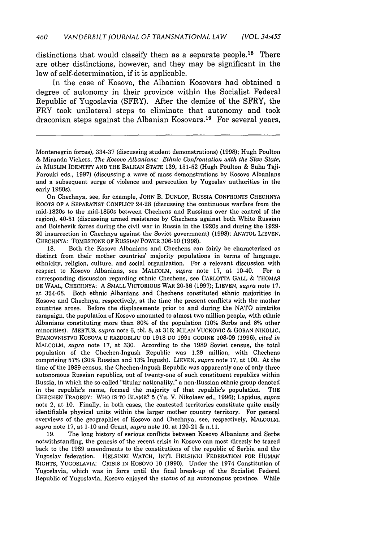distinctions that would classify them as a separate people.<sup>18</sup> There are other distinctions, however, and they may be significant in the law of self-determination, if it is applicable.

In the case of Kosovo, the Albanian Kosovars had obtained a degree of autonomy in their province within the Socialist Federal Republic of Yugoslavia (SFRY). After the demise of the SFRY, the FRY took unilateral steps to eliminate that autonomy and took draconian steps against the Albanian Kosovars. 19 For several years,

On Chechnya, see, for example, JOHN B. DUNLOP, RUSSIA CONFRONTS CHECHNYA ROOTS OF **A** SEPARATIST CONFLICT 24-28 (discussing the continuous warfare from the mid-1820s to the mid-1850s between Chechens and Russians over the control of the region), 40-51 (discussing armed resistance by Chechens against both White Russian and Bolshevik forces during the civil war in Russia in the 1920s and during the 1929. 30 insurrection in Chechnya against the Soviet government) (1998); ANATOL LIEVEN, CHECHNYA: TOMBSTONE OF RUSSIAN POWER 306-10 (1998).

**18.** Both the Kosovo Albanians and Chechens can fairly be characterized as distinct from their mother countries' majority populations in terms of language, ethnicity, religion, culture, and social organization. For a relevant discussion with respect to Kosovo Albanians, see MALCOLM, *supra* note 17, at 10-40. For a corresponding discussion regarding ethnic Chechens, see CARLOTTA GALL & THOMAS **DE** WAAL, CHECHNYA: A SMALL VICTORIOUS WAR 20-36 (1997); LIEVEN, *supra* note 17, at 324-68. Both ethnic Albanians and Chechens constituted ethnic majorities in Kosovo and Chechnya, respectively, at the time the present conflicts with the mother countries arose. Before the displacements prior to and during the NATO airstrike campaign, the population of Kosovo amounted to almost two million people, with ethnic Albanians constituting more than 80% of the population (10% Serbs and 8% other minorities). MERTUS, *supra* note 6, tbl. **8,** at 316; MILAN VUCKOVIC **&** GORAN NIKOLIC, STANOVNISTvO KOSOVA U RAZDOBLJU OD 1918 DO 1991 GODINE 108-09 (1996), *cited in* MALCOLM, *supra* note 17, at 330. According to the 1989 Soviet census, the total population of the Chechen-Ingush Republic was 1.29 million, with Chechens comprising 57% (30% Russian and 13% Ingush). LIEVEN, *supra* note 17, at 100. At the time of the 1989 census, the Chechen-Ingush Republic was apparently one of only three autonomous Russian republics, out of twenty-one of such constituent republics within Russia, in which the so-called "titular nationality," a non-Russian ethnic group denoted in the republic's name, formed the majority of that republic's population. THE CHECHEN TRAGEDY: WHO IS TO BLAME? 5 (Yu. V. Nikolaev ed., 1996); Lapidus, *supra* note 2, at 10. Finally, in both cases, the contested territories constitute quite easily identifiable physical units within the larger mother country territory. For general overviews of the geographies of Kosovo and Chechnya, see, respectively, MALCOLM, *supra* note 17, at 1-10 and Grant, *supra* note 10, at 120-21 & n.11.

19. The long history of serious conflicts between Kosovo Albanians and Serbs notwithstanding, the genesis of the recent crisis in Kosovo can most directly be traced back to the 1989 amendments to the constitutions of the republic of Serbia and the Yugoslav federation. HELSINKI WATCH, INT'L HELSINKI FEDERATION FOR HUMAN RIGHTS, YUGOSLAVIA: CRISIS IN KOSOVO 10 (1990). Under the 1974 Constitution of Yugoslavia, which was in force until the final break-up of the Socialist Federal Republic of Yugoslavia, Kosovo enjoyed the status of an autonomous province. While

Montenegrin forces), 334-37 (discussing student demonstrations) (1998); Hugh Poulton & Miranda Vickers, *The Kosovo Albanians: Ethnic Confrontation with the Slav State, in* MUSLIM IDENTITY AND THE BALKAN STATE 139, 151-52 (Hugh Poulton & Suha Taji-Farouki eds., 1997) (discussing a wave of mass demonstrations by Kosovo Albanians and a subsequent surge of violence and persecution by Yugoslav authorities in the early 1980s).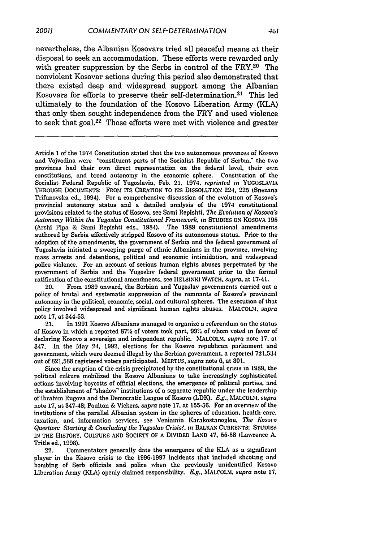nevertheless, the Albanian Kosovars tried all peaceful means at their disposal to seek an accommodation. These efforts were rewarded only with greater suppression by the Serbs in control of the FRY.<sup>20</sup> The nonviolent Kosovar actions during this period also demonstrated that there existed deep and widespread support among the Albanian Kosovars for efforts to preserve their self-determination. 2' This led ultimately to the foundation of the Kosovo Liberation Army (KLA) that only then sought independence from the FRY and used violence to seek that goal.<sup>22</sup> Those efforts were met with violence and greater

Article 1 of the 1974 Constitution stated that the two autonomous provinces of Kosovo and Vojvodina were "constituent parts of the Socialist Republic of Serbia," the two provinces had their own direct representation on the federal level, their own constitutions, and broad autonomy in the economic sphere. Constitution of the Socialist Federal Republic of Yugoslavia, Feb. 21, 1974. *reprinted in* **YUGOSLAVIA** THROUGH DOCUMENTS: **FROM ITS CREATION TO ITS DISSOLUTION** 224, 225 (Snezana Trifinovska ed., 1994). For a comprehensive discussion of the evolution of Kosovo's provincial autonomy status and a detailed analysis of the 1974 constitutional provisions related to the status of Kosovo, see Sami Repishti, **The** *Evolutin of Kosovais Autonomy Within the Yugoslav Constitutional Framework, in* **STUDIES** ON KOSOVA 195 (Arshi Pipa & Sami Repishti eds., 1984). The 1989 constitutional amendments authored by Serbia effectively stripped Kosovo of its autonomous status. Prior to the adoption of the amendments, the government of Serbia and the federal government of Yugoslavia initiated a sweeping purge of ethnic Albanians in the province, involving mass arrests and detentions, political and economic intimidation, and widespread police violence. For an account of serious human rights abuses perpetrated by the government of Serbia and the Yugoslav federal government prior to the formal ratification of the constitutional amendments, see **HELSINKI WATCH.** supra, at 17-41.

20. From 1989 onward, the Serbian and Yugoslav governments carried out a policy of brutal and systematic suppression of the remnants of Kosovo's provincial autonomy in the political, economic, social, and cultural spheres. The execution of that policy involved widespread and significant human rights abuses. MALCOLM, *supra* note 17, at 344-53.

21. In 1991 Kosovo Albanians managed to organize a referendum on the status of Kosovo in which a reported 87% of voters took part, **99%** of whom voted in favor of declaring Kosovo a sovereign and independent republic. MALCOLM, *supra* note 17, at 347. In the May 24, 1992, elections for the Kosovo republican parliament and government, which were deemed illegal by the Serbian government, a reported **721,534** out of 821,588 registered voters participated. MERTUS, *supra* note **6,** at 301.

Since the eruption of the crisis precipitated by the constitutional crisis in 1989, the political culture mobilized the Kosovo Albanians to take increasingly sophisticated actions involving boycotts of official elections, the emergence of political parties, and the establishment of "shadow" institutions of a separate republic under the leadership of Ibrahim Rugova and the Democratic League of Kosovo (LDK). *E.g.,* **MALCOLM,** *supra* note 17, at 347-48; Poulton & Vickers, *supra* note 17, at 155.56. For an overview of the institutions of the parallel Albanian system in the spheres of education, health care, taxation, and information services, see Veniamin Karakostanoglou. *The Kosoto Question: Starting & Concluding the Yugoslav Crisis?, in BALKAN CURRENTS: STUDIES* IN THE HISTORY, **CULTURE AND SOCIETY** OF **A DIVIDED LAND 47, 55-58** (Lawrence A. Tritle ed., 1998).

22. Commentators generally date the emergence of the KLA as a significant player in the Kosovo crisis to the 1996-1997 incidents that included shooting and bombing of Serb officials and police when the previously unidentified Kosovo Liberation Army (KLA) openly claimed responsibility. *E.g.,* **MALCOLMI.** *supra* note **17,**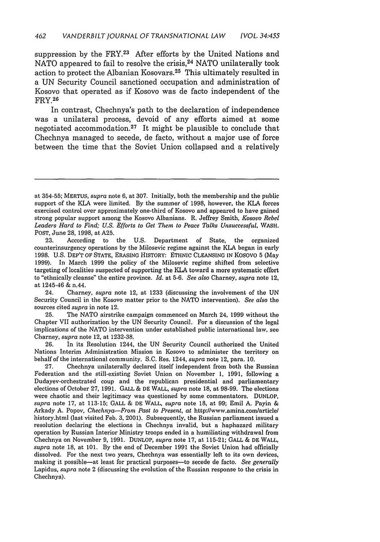suppression by the FRY.<sup>23</sup> After efforts by the United Nations and NATO appeared to fail to resolve the crisis.<sup>24</sup> NATO unilaterally took action to protect the Albanian Kosovars. 25 This ultimately resulted in a UN Security Council sanctioned occupation and administration of Kosovo that operated as if Kosovo was de facto independent of the FRY. <sup>26</sup>

In contrast, Chechnya's path to the declaration of independence was a unilateral process, devoid of any efforts aimed at some negotiated accommodation.<sup>27</sup> It might be plausible to conclude that Chechnya managed to secede, de facto, without a major use of force between the time that the Soviet Union collapsed and a relatively

23. According to the U.S. Department of State, the organized counterinsurgency operations by the Milosevic regime against the KLA began in early 1998. U.S. DEP'T OF STATE, ERASING HISTORY: ETHNIC CLEANSING IN KOSOVO 5 (May 1999). In March 1999 the policy of the Milosevic regime shifted from selective targeting of localities suspected of supporting the KLA toward a more systematic effort to "ethnically cleanse" the entire province. *Id.* at 5-6. *See also* Charney, *supra* note 12, at 1245-46 & n.44.

24. Charney, *supra* note 12, at 1233 (discussing the involvement of the UN Security Council in the Kosovo matter prior to the NATO intervention). *See also* the sources cited *supra* in note 12.

25. The NATO airstrike campaign commenced on March 24, 1999 without the Chapter VII authorization by the UN Security Council. For a discussion of the legal implications of the NATO intervention under established public international law, see Charney, *supra* note 12, at 1232-38.

26. In its Resolution 1244, the UN Security Council authorized the United Nations Interim Administration Mission in Kosovo to administer the territory on behalf of the international community. S.C. Res. 1244, *supra* note 12, para. 10.

27. Chechnya unilaterally declared itself independent from both the Russian Federation and the still-existing Soviet Union on November 1, 1991, following a Dudayev-orchestrated coup and the republican presidential and parliamentary elections of October 27, 1991. GALL & DE WALL, *supra* note 18, at 98-99. The elections were chaotic and their legitimacy was questioned by some commentators. DUNLOP, *supra* note 17, at 113-15; GALL & DE WALL, *supra* note 18, at 99; Emil A. Payin & Arkady A. Popov, *Chechnya-From Past to Present,* at http://www.amina.com/article/ history.html (last visited Feb. 3, 2001). Subsequently, the Russian parliament issued a resolution declaring the elections in Chechnya invalid, but a haphazard military operation by Russian Interior Ministry troops ended in a humiliating withdrawal from Chechnya on November 9, 1991. DUNLOP, *supra* note 17, at 115-21; GALL & DE WALL, *supra* note 18, at 101. By the end of December 1991 the Soviet Union had officially dissolved. For the next two years, Chechnya was essentially left to its own devices, making it possible-at least for practical purposes-to secede de facto. *See generally* Lapidus, *supra* note 2 (discussing the evolution of the Russian response to the crisis in Chechnya).

at 354-55; MERTUS, *supra* note 6, at 307. Initially, both the membership and the public support of the KLA were limited. By the summer of 1998, however, the KLA forces exercised control over approximately one-third of Kosovo and appeared to have gained strong popular support among the Kosovo Albanians. R. Jeffrey Smith, *Kosovo Rebel* Leaders Hard to Find; U.S. Efforts to Get Them to Peace Talks Unsuccessful, WASH. POST, June 28, 1998, at A25.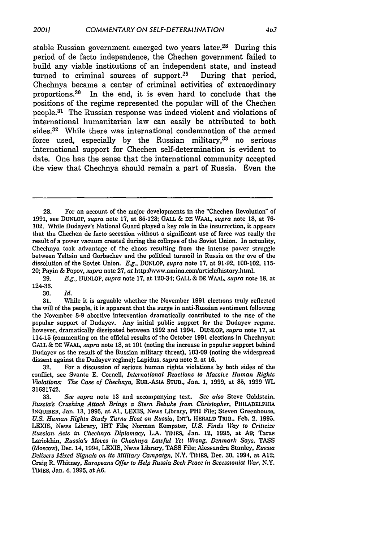stable Russian government emerged two years later.<sup>28</sup> During this period of de facto independence, the Chechen government failed to build any viable institutions of an independent state, and instead turned to criminal sources of support.<sup>29</sup> During that period, Chechnya became a center of criminal activities of extraordinary proportions. 30 In the end, it is even hard to conclude that the positions of the regime represented the popular will of the Chechen people.<sup>31</sup> The Russian response was indeed violent and violations of international humanitarian law can easily be attributed to both sides.<sup>32</sup> While there was international condemnation of the armed force used, especially by the Russian military,  $33$  no serious international support for Chechen self-determination is evident to date. One has the sense that the international community accepted the view that Chechnya should remain a part of Russia. Even the

29. *E.g.,* DUNLOP, *supra* note 17, at 120-34; **GALL** & **DE WAAL,** *supra* note **18,** at 124-36.

30. *Id.*

**32.** For a discussion of serious human rights violations **by** both sides of the conflict, see Svante **E.** Cornell, *International Reactions to Massive Human Rights Violations: The Case of Chechnya,* **EUR.-ASIA** STUD., Jan. **1,** 1999, at 85, 1999 WVL 31681742.

<sup>28.</sup> For an account of the major developments in the "Chechen Revolution" of **1991,** see **DUNLOP,** *supra* note **17,** at **85-123; GALL** & **DE %VAAL,** *supra* note **18,** at **76-** 102. While Dudayev's National Guard played a key role in the insurrection, it appears that the Chechen de facto secession without a significant use of force was really the result of a power vacuum created during the collapse of the Soviet Union. In actuality, Chechnya took advantage of the chaos resulting from the intense power struggle between Yeltsin and Gorbachev and the political turmoil in Russia on the eve of the dissolution of the Soviet Union. *E.g.,* DUNLOP, *supra* note **17,** at 91-92, 100-102, 115- 20; Payin & Popov, *supra* note **27,** at http:/www.amina.com/articlelhistory.html.

**<sup>31.</sup>** While it is arguable whether the November **1991** elections truly reflected the will of the people, it is apparent that the surge in anti-Russian sentiment following the November **8-9** abortive intervention dramatically contributed to the rise of the popular support of Dudayev. Any initial public support for the Dudayev regime. however, dramatically dissipated between **1992** and 1994. DUNLOP, *supra* note **17,** at 114-15 (commenting on the official results of the October **1991** elections in Chechnya); **GALL** & **DE WAAL,** *supra* note **18,** at **101** (noting the increase in popular support behind Dudayev as the result of the Russian military threat), **103-09** (noting the widespread dissent against the Dudayev regime); Lapidus, *supra* note 2, at **16.**

**<sup>33.</sup>** *See supra* note 13 and accompanying text. *See also* Steve Goldstein, *Russia's Crushing Attack Brings a Stern Rebuke from Christopher,* **PHILADELPHIA** INQUIRER, Jan. 13, 1995, at **Al,** LEXIS, News Library, PHI File; Steven Greenhouse. U.S. Human Rights Study Turns Heat on Russia, INT'L HERALD TRIB., Feb. 2, 1995, LEXIS, News Library, IHT File; Norman Kempster, *U.S. Finds Way to Criticize Russian Acts in Chechnya Diplomacy,* L.A. TIMES, Jan. 12. **1995,** at **A9;** Taras Lariokhin, *Russia's Moves in Chechnya Lawful Yet Wrong, Denmarl Says,* **TASS** (Moscow), Dec. 14, 1994, LEXIS, News Library, **TASS** File; Alessandra Stanley, *Russia Delivers Mixed Signals on its Military Campaign,* N.Y. **TIMES,** Dec. **30,** 1994, at **A12;** Craig R. Whitney, *Europeans Offer to Help Russia Seck Peace in Secessionist War,* N.Y. **TIMES,** Jan. 4, **1995,** at **A6.**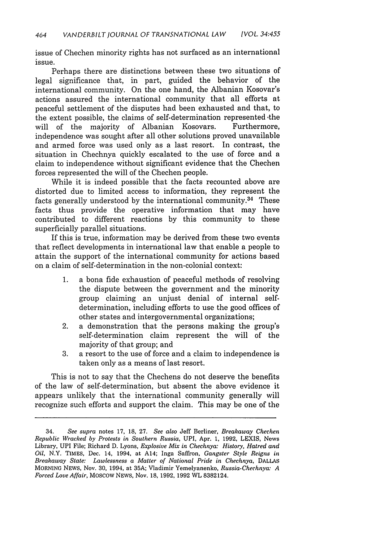issue of Chechen minority rights has not surfaced as an international issue.

Perhaps there are distinctions between these two situations of legal significance that, in part, guided the behavior of the international community. On the one hand, the Albanian Kosovar's actions assured the international community that all efforts at peaceful settlement of the disputes had been exhausted and that, to the extent possible, the claims of self-determination represented 'the will of the majority of Albanian Kosovars. Furthermore, independence was sought after all other solutions proved unavailable and armed force was used only as a last resort. In contrast, the situation in Chechnya quickly escalated to the use of force and a claim to independence without significant evidence that the Chechen forces represented the will of the Chechen people.

While it is indeed possible that the facts recounted above are distorted due to limited access to information, they represent the facts generally understood by the international community. 34 These facts thus provide the operative information that may have contributed to different reactions by this community to these superficially parallel situations.

If this is true, information may be derived from these two events that reflect developments in international law that enable a people to attain the support of the international community for actions based on a claim of self-determination in the non-colonial context:

- 1. a bona fide exhaustion of peaceful methods of resolving the dispute between the government and the minority group claiming an unjust denial of internal selfdetermination, including efforts to use the good offices of other states and intergovernmental organizations;
- 2. a demonstration that the persons making the group's self-determination claim represent the will of the majority of that group; and
- 3. a resort to the use of force and a claim to independence is taken only as a means of last resort.

This is not to say that the Chechens do not deserve the benefits of the law of self-determination, but absent the above evidence it appears unlikely that the international community generally will recognize such efforts and support the claim. This may be one of the

<sup>34.</sup> *See supra* notes **17, 18, 27.** *See also* Jeff Berliner, *Breakaway Chechen Republic Wracked by Protests in Southern Russia,* UPI, Apr. **1, 1992, LEXIS,** News Library, UPI File; Richard **D.** Lyons, *Explosive Mix in Chechnya: History, Hatred and Oil,* N.Y. TIMES, Dec. 14, 1994, at A14; Inga Saffron, *Gangster Style Reigns in Breakaway State: Lawlessness a Matter of National Pride in Chechnya,* **DALLAS MORNING NEWS,** Nov. **30,** 1994, at **35A;** Vladimir Yemelyanenko, *Russia.Chechnya: A Forced Love Affair,* MOSCOW NEWS, Nov. **18, 1992, 1992** WL **8382124.**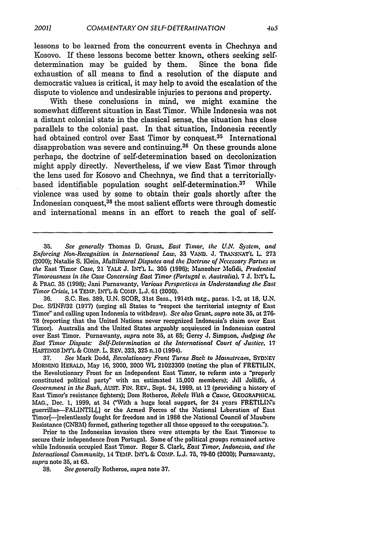lessons to be learned from the concurrent events in Chechnya and Kosovo. If these lessons become better known, others seeking self. determination may be guided by them. Since the bona fide exhaustion of all means to find a resolution of the dispute and democratic values is critical, it may help to avoid the escalation of the dispute to violence and undesirable injuries to persons and property.

With these conclusions in mind, we might examine the somewhat different situation in East Timor. While Indonesia was not a distant colonial state in the classical sense, the situation has close parallels to the colonial past. In that situation, Indonesia recently had obtained control over East Timor by conquest.<sup>35</sup> International disapprobation was severe and continuing.<sup>36</sup> On these grounds alone perhaps, the doctrine of self-determination based on decolonization might apply directly. Nevertheless, if we view East Timor through the lens used for Kosovo and Chechnya, we find that a territoriallybased identifiable population sought self-determination.<sup>37</sup> While violence was used by some to obtain their goals shortly after the Indonesian conquest,<sup>38</sup> the most salient efforts were through domestic and international means in an effort to reach the goal of self-

**36.** S.C. Res. 389, U.N. SCOR, 31st Sess., 1914th mtg., paras. 1-2. at **18,** U.N. Doc. S/INFI32 (1977) (urging all States to "respect the territorial integrity of East Timor" and calling upon Indonesia to withdraw). *See also* Grant, *supra* note **35,** at 276- 78 (reporting that the United Nations never recognized Indonesia's claim over East Timor). Australia and the United States arguably acquiesced in Indonesian control over East Timor. Purnawanty, *supra* note **35,** at 65; Gerry J. Simpson. *Judging the East Timor Dispute: Self-Determination at the International Court of Justice.* 17 HASTINGS INT'L **&** COMP. L. REV. 323, 325 n.10 (1994).

37. *See* Mark Dodd, *Revolutionary Front Turns Bach to Mainstream,* SYDNEY MORNING HERALD, May 16, 2000, 2000 WL 21023300 (noting the plan of FRETILIN, the Revolutionary Front for an Independent East Timor, to reform into a "properly constituted political party" with an estimated **15,000** members); Jill Jolliffe, *A Government in the Bush,* AUST. FIN. REV., Sept. 24, **1999,** at 12 (providing a history of East Timor's resistance fighters); Dom Rotheroe, *Rebels With a Cause.* **GEOGRAPHICAL** MAG., Dec. 1, 1999, at 34 ("With a huge local support, for 24 years FRETILIN's guerrillas-FALINTIL[,] or the Armed Forces of the National Liberation of East Timor[-]relentlessly fought for freedom and in 1988 the National Council of Maubere Resistance (CNRM) formed, gathering together all those opposed to the occupatiomn.").

Prior to the Indonesian invasion there were attempts by the East Timorese to secure their independence from Portugal. Some of the political groups remained active while Indonesia occupied East Timor. Roger S. Clark, *East Timor, Indonesia, and the International Community,* 14 TEMP. **INT'L** & COMP. L.J. **75,** 79.80 (2000); Purnawanty, *supra* note **35,** at 63.

38. *See generally* Rotheroe, *supra* note 37.

**<sup>35.</sup>** *See generally* Thomas **D.** Grant, *East Timor, the U.M System, and Enforcing Non-Recognition in International Law, 33 VAND. J. TRANSNAT'L L. 273* (2000); Natalie **S.** Klein, *Multilateral Disputes and the Doctrine of Necessary Parties in the* East Timor *Case,* 21 YALE J. **INT'L** L. 305 **(1996);** Manooher Mofidi, *Prudential Timorousness in the Case Concerning East Timor (Portugal v. Australia).* 7 J. INT'L L. & PRAC. 35 (1998); Jani Purnawanty, *Various Perspectives in Understanding the East Timor Crisis,* 14 TEMP. INT'L & CoMP. L.J. **61** (2000).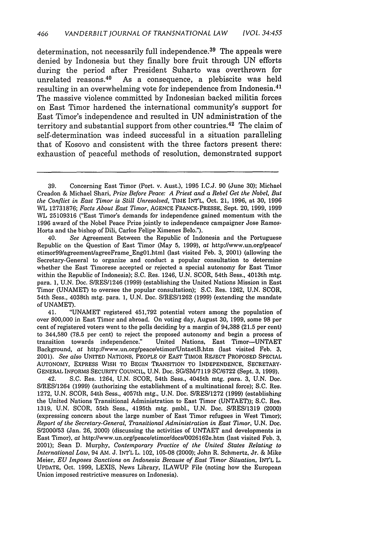determination, not necessarily full independence.<sup>39</sup> The appeals were denied by Indonesia but they finally bore fruit through UN efforts during the period after President Suharto was overthrown for unrelated reasons.40 As a consequence, a plebiscite was held resulting in an overwhelming vote for independence from Indonesia.<sup>41</sup> The massive violence committed by Indonesian backed militia forces on East Timor hardened the international community's support for East Timor's independence and resulted in UN administration of the territory and substantial support from other countries. 42 The claim of self-determination was indeed successful in a situation paralleling that of Kosovo and consistent with the three factors present there: exhaustion of peaceful methods of resolution, demonstrated support

40. *See* Agreement Between the Republic of Indonesia and the Portuguese Republic on the Question of East Timor (May 5, 1999), *at* http://www.un.org/peace/ etimor99/agreement/agreeFrameEng01.html (last visited Feb. 3, 2001) (allowing the Secretary-General to organize and conduct a popular consultation to determine whether the East Timorese accepted or rejected a special autonomy for East Timor within the Republic of Indonesia); S.C. Res. 1246, U.N. SCOR, 54th Sess., 4013th mtg. para. 1, U.N. Doc. S/RES/1246 (1999) (establishing the United Nations Mission in East Timor (UNAMET) to oversee the popular consultation); S.C. Res. 1262, U.N. SCOR, 54th Sess., 4038th mtg. para. 1, U.N. Doc. S/RES/1262 (1999) (extending the mandate of UNAMET).

41. "UNAMET registered 451,792 potential voters among the population of over 800,000 in East Timor and abroad. On voting day, August 30, 1999, some 98 per cent of registered voters went to the polls deciding by a margin of 94,388 (21.5 per cent) to 344,580 (78.5 per cent) to reject the proposed autonomy and begin a process of transition towards independence." United Nations, East Timor-UNTAET Background, *at* http://www.un.org/peace/etimor/UntaetB.htm (last visited Feb. 3, 2001). *See also* UNITED NATIONS, PEOPLE OF EAST TIMOR REJECT PROPOSED SPECIAL AUTONOMY, EXPRESS WISH TO BEGIN TRANSITION TO INDEPENDENCE, SECRETARY-GENERAL INFORMS SECURITY COUNCIL, U.N. Doc. SG/SM/7119 SC/6722 (Sept. 3, 1999).

42. S.C. Res. 1264, U.N. SCOR, 54th Sess., 4045th mtg. para. 3, U.N. Doc. S/RES11264 (1999) (authorizing the establishment of a multinational force); S.C. Res. 1272, U.N. SCOR, 54th Sess., 4057th mtg., U.N. Doc. S/RES/1272 (1999) (establishing the United Nations Transitional Administration to East Timor (UNTAET)); S.C. Res. 1319, U.N. SCOR, 55th Sess., 4195th mtg. pmbl., U.N. Doc. S/RES/1319 (2000) (expressing concern about the large number of East Timor refugees in West Timor); *Report of the Secretary-General, Transitional Administration in East Timor,* U.N. Doc. S/2000/53 (Jan. 26, 2000) (discussing the activities of UNTAET and developments in East Timor), *at* http://www.un.org/peace/etimor/docs/0026162e.htm (last visited Feb. 3, 2001); Sean D. Murphy, *Contemporary Practice of the United States Relating to International Law,* 94 AM. J. INT'L L. 102, 105-08 (2000); John R. Schmertz, Jr. & Mike Meier, *EU Imposes Sanctions on Indonesia Because of East Timor Situation,* INT'L L. UPDATE, Oct. 1999, LEXIS, News Library, ILAWUP File (noting how the European Union imposed restrictive measures on Indonesia).

<sup>39.</sup> Concerning East Timor (Port. v. Aust.), 1995 I.C.J. 90 (June 30); Michael Creadon & Michael Shari, *Prize Before Peace: A Priest and a Rebel Get the Nobel, But the Conflict in East Timor is Still Unresolved,* TIME INT'L, Oct. 21, 1996, at 30, 1996 WL 12731876; *Facts About East Timor,* AGENCE FRANCE-PRESSE, Sept. 20, 1999, 1999 WL 25109316 ("East Timor's demands for independence gained momentum with the 1996 award of the Nobel Peace Prize jointly to independence campaigner Jose Ramos-Horta and the bishop of Dili, Carlos Felipe Ximenes Belo.").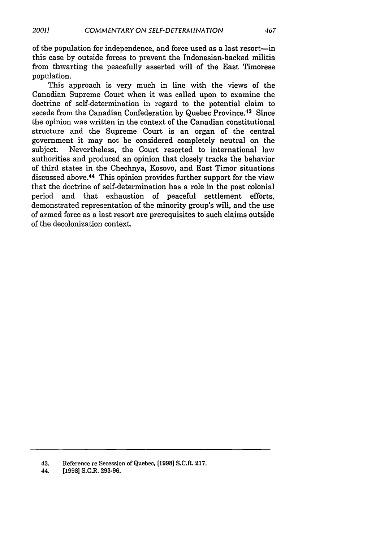of the population for independence, and force used as a last resort-in this case by outside forces to prevent the Indonesian-backed militia from thwarting the peacefully asserted will of the East Timorese population.

This approach is very much in line with the views of the Canadian Supreme Court when it was called upon to examine the doctrine of self-determination in regard to the potential claim to secede from the Canadian Confederation by Quebec Province. 43 Since the opinion was written in the context of the Canadian constitutional structure and the Supreme Court is an organ of the central government it may not be considered completely neutral on the subject. Nevertheless, the Court resorted to international law authorities and produced an opinion that closely tracks the behavior of third states in the Chechnya, Kosovo, and East Timor situations discussed above. 44 This opinion provides further support for the view that the doctrine of self-determination has a role in the post colonial period and that exhaustion of peaceful settlement efforts, demonstrated representation of the minority group's will, and the use of armed force as a last resort are prerequisites to such claims outside of the decolonization context.

<sup>43.</sup> Reference re Secession of Quebec, **[1998]** S.C.R. 217.

<sup>44. [1998]</sup> S.C.R. 293-96.